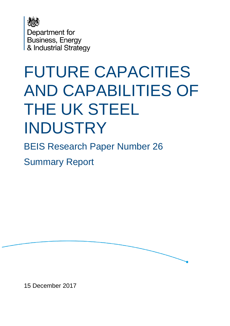

Department for Business, Energy & Industrial Strategy

# FUTURE CAPACITIES AND CAPABILITIES OF THE UK STEEL INDUSTRY

BEIS Research Paper Number 26

Summary Report

15 December 2017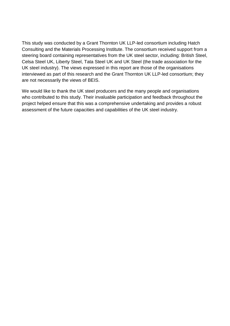This study was conducted by a Grant Thornton UK LLP-led consortium including Hatch Consulting and the Materials Processing Institute. The consortium received support from a steering board containing representatives from the UK steel sector, including: British Steel, Celsa Steel UK, Liberty Steel, Tata Steel UK and UK Steel (the trade association for the UK steel industry). The views expressed in this report are those of the organisations interviewed as part of this research and the Grant Thornton UK LLP-led consortium; they are not necessarily the views of BEIS.

We would like to thank the UK steel producers and the many people and organisations who contributed to this study. Their invaluable participation and feedback throughout the project helped ensure that this was a comprehensive undertaking and provides a robust assessment of the future capacities and capabilities of the UK steel industry.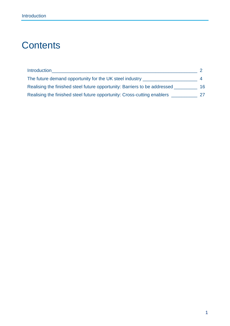## **Contents**

| <b>Introduction</b>                                                       |    |
|---------------------------------------------------------------------------|----|
| The future demand opportunity for the UK steel industry                   |    |
| Realising the finished steel future opportunity: Barriers to be addressed | 16 |
| Realising the finished steel future opportunity: Cross-cutting enablers   | 27 |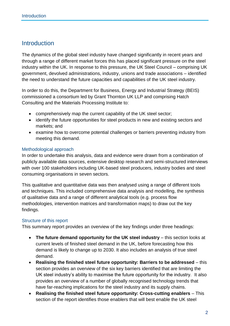## <span id="page-3-0"></span>**Introduction**

The dynamics of the global steel industry have changed significantly in recent years and through a range of different market forces this has placed significant pressure on the steel industry within the UK. In response to this pressure, the UK Steel Council – comprising UK government, devolved administrations, industry, unions and trade associations – identified the need to understand the future capacities and capabilities of the UK steel industry.

In order to do this, the Department for Business, Energy and Industrial Strategy (BEIS) commissioned a consortium led by Grant Thornton UK LLP and comprising Hatch Consulting and the Materials Processing Institute to:

- comprehensively map the current capability of the UK steel sector;
- identify the future opportunities for steel products in new and existing sectors and markets; and
- examine how to overcome potential challenges or barriers preventing industry from meeting this demand.

## Methodological approach

In order to undertake this analysis, data and evidence were drawn from a combination of publicly available data sources, extensive desktop research and semi-structured interviews with over 100 stakeholders including UK-based steel producers, industry bodies and steel consuming organisations in seven sectors.

This qualitative and quantitative data was then analysed using a range of different tools and techniques. This included comprehensive data analysis and modelling, the synthesis of qualitative data and a range of different analytical tools (e.g. process flow methodologies, intervention matrices and transformation maps) to draw out the key findings.

## Structure of this report

This summary report provides an overview of the key findings under three headings:

- **The future demand opportunity for the UK steel industry** this section looks at current levels of finished steel demand in the UK, before forecasting how this demand is likely to change up to 2030. It also includes an analysis of true steel demand.
- **Realising the finished steel future opportunity: Barriers to be addressed** this section provides an overview of the six key barriers identified that are limiting the UK steel industry's ability to maximise the future opportunity for the industry. It also provides an overview of a number of globally recognised technology trends that have far-reaching implications for the steel industry and its supply chains.
- **Realising the finished steel future opportunity: Cross-cutting enablers** This section of the report identifies those enablers that will best enable the UK steel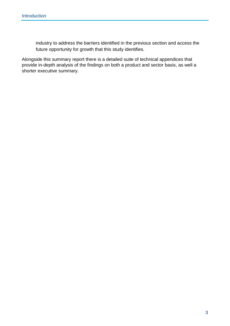industry to address the barriers identified in the previous section and access the future opportunity for growth that this study identifies.

Alongside this summary report there is a detailed suite of technical appendices that provide in-depth analysis of the findings on both a product and sector basis, as well a shorter executive summary.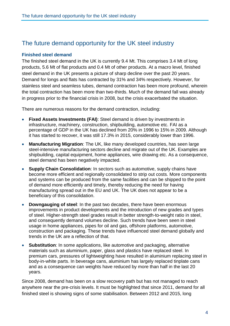## <span id="page-5-0"></span>The future demand opportunity for the UK steel industry

## **Finished steel demand**

The finished steel demand in the UK is currently 9.4 Mt. This comprises 3.4 Mt of long products, 5.6 Mt of flat products and 0.4 Mt of other products. At a macro level, finished steel demand in the UK presents a picture of sharp decline over the past 20 years. Demand for longs and flats has contracted by 31% and 34% respectively. However, for stainless steel and seamless tubes, demand contraction has been more profound, wherein the total contraction has been more than two-thirds. Much of the demand fall was already in progress prior to the financial crisis in 2008, but the crisis exacerbated the situation.

There are numerous reasons for the demand contraction, including:

- **Fixed Assets Investments (FAI)**: Steel demand is driven by investments in infrastructure, machinery, construction, shipbuilding, automotive etc. FAI as a percentage of GDP in the UK has declined from 20% in 1996 to 15% in 2009. Although it has started to recover, it was still 17.3% in 2015, considerably lower than 1996.
- **Manufacturing Migration**: The UK, like many developed countries, has seen large steel-intensive manufacturing sectors decline and migrate out of the UK. Examples are shipbuilding, capital equipment, home appliances, wire drawing etc. As a consequence, steel demand has been negatively impacted.
- **Supply Chain Consolidation**: In sectors such as automotive, supply chains have become more efficient and regionally consolidated to strip out costs. More components and systems can be produced from the same facilities and can be shipped to the point of demand more efficiently and timely, thereby reducing the need for having manufacturing spread out in the EU and UK. The UK does not appear to be a beneficiary of this consolidation.
- **Downgauging of steel**: In the past two decades, there have been enormous improvements in product developments and the introduction of new grades and types of steel. Higher-strength steel grades result in better strength-to-weight ratio in steel, and consequently demand volumes decline. Such trends have been seen in steel usage in home appliances, pipes for oil and gas, offshore platforms, automotive, construction and packaging. These trends have influenced steel demand globally and trends in the UK are a reflection of that.
- **Substitution**: In some applications, like automotive and packaging, alternative materials such as aluminium, paper, glass and plastics have replaced steel. In premium cars, pressures of lightweighting have resulted in aluminium replacing steel in body-in-white parts. In beverage cans, aluminium has largely replaced tinplate cans and as a consequence can weights have reduced by more than half in the last 20 years.

Since 2008, demand has been on a slow recovery path but has not managed to reach anywhere near the pre-crisis levels. It must be highlighted that since 2011, demand for all finished steel is showing signs of some stabilisation. Between 2012 and 2015, long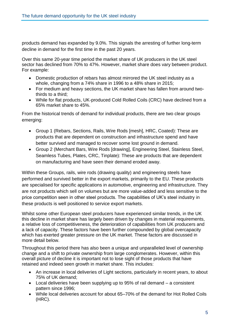products demand has expanded by 9.0%. This signals the arresting of further long-term decline in demand for the first time in the past 20 years.

Over this same 20-year time period the market share of UK producers in the UK steel sector has declined from 70% to 47%. However, market share does vary between product. For example:

- Domestic production of rebars has almost mirrored the UK steel industry as a whole, changing from a 74% share in 1996 to a 48% share in 2015;
- For medium and heavy sections, the UK market share has fallen from around twothirds to a third;
- While for flat products, UK-produced Cold Rolled Coils (CRC) have declined from a 65% market share to 45%.

From the historical trends of demand for individual products, there are two clear groups emerging:

- Group 1 (Rebars, Sections, Rails, Wire Rods [mesh], HRC, Coated): These are products that are dependent on construction and infrastructure spend and have better survived and managed to recover some lost ground in demand.
- Group 2 (Merchant Bars, Wire Rods [drawing], Engineering Steel, Stainless Steel, Seamless Tubes, Plates, CRC, Tinplate): These are products that are dependent on manufacturing and have seen their demand eroded away.

Within these Groups, rails, wire rods (drawing quality) and engineering steels have performed and survived better in the export markets, primarily to the EU. These products are specialised for specific applications in automotive, engineering and infrastructure. They are not products which sell on volumes but are more value-added and less sensitive to the price competition seen in other steel products. The capabilities of UK's steel industry in these products is well positioned to service export markets.

Whilst some other European steel producers have experienced similar trends, in the UK this decline in market share has largely been driven by changes in material requirements, a relative loss of competitiveness, the deterioration of capabilities from UK producers and a lack of capacity. These factors have been further compounded by global overcapacity which has exerted greater pressure on the UK market. These factors are discussed in more detail below.

Throughout this period there has also been a unique and unparalleled level of ownership change and a shift to private ownership from large conglomerates. However, within this overall picture of decline it is important not to lose sight of those products that have retained and indeed seen growth in market share. This includes:

- An increase in local deliveries of Light sections, particularly in recent years, to about 75% of UK demand;
- Local deliveries have been supplying up to 95% of rail demand a consistent pattern since 1996;
- While local deliveries account for about 65–70% of the demand for Hot Rolled Coils (HRC).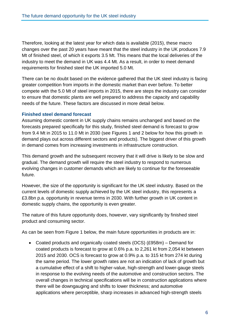Therefore, looking at the latest year for which data is available (2015), these macro changes over the past 20 years have meant that the steel industry in the UK produces 7.9 Mt of finished steel, of which it exports 3.5 Mt. This means that the local deliveries of the industry to meet the demand in UK was 4.4 Mt. As a result, in order to meet demand requirements for finished steel the UK imported 5.0 Mt.

There can be no doubt based on the evidence gathered that the UK steel industry is facing greater competition from imports in the domestic market than ever before. To better compete with the 5.0 Mt of steel imports in 2015, there are steps the industry can consider to ensure that domestic plants are well prepared to address the capacity and capability needs of the future. These factors are discussed in more detail below.

## **Finished steel demand forecast**

Assuming domestic content in UK supply chains remains unchanged and based on the forecasts prepared specifically for this study, finished steel demand is forecast to grow from 9.4 Mt in 2015 to 11.0 Mt in 2030 (see Figures 1 and 2 below for how this growth in demand plays out across different sectors and products). The biggest driver of this growth in demand comes from increasing investments in infrastructure construction.

This demand growth and the subsequent recovery that it will drive is likely to be slow and gradual. The demand growth will require the steel industry to respond to numerous evolving changes in customer demands which are likely to continue for the foreseeable future.

However, the size of the opportunity is significant for the UK steel industry. Based on the current levels of domestic supply achieved by the UK steel industry, this represents a £3.8bn p.a. opportunity in revenue terms in 2030. With further growth in UK content in domestic supply chains, the opportunity is even greater.

The nature of this future opportunity does, however, vary significantly by finished steel product and consuming sector.

As can be seen from Figure 1 below, the main future opportunities in products are in:

 Coated products and organically coated steels (OCS) (£958m) – Demand for coated products is forecast to grow at 0.6% p.a. to 2,261 kt from 2,054 kt between 2015 and 2030. OCS is forecast to grow at 0.9% p.a. to 315 kt from 274 kt during the same period. The lower growth rates are not an indication of lack of growth but a cumulative effect of a shift to higher-value, high-strength and lower-gauge steels in response to the evolving needs of the automotive and construction sectors. The overall changes in technical specifications will be in construction applications where there will be downgauging and shifts to lower thickness; and automotive applications where perceptible, sharp increases in advanced high-strength steels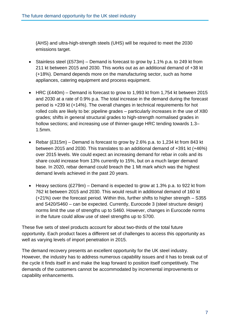(AHS) and ultra-high-strength steels (UHS) will be required to meet the 2030 emissions target.

- Stainless steel  $(£573m)$  Demand is forecast to grow by 1.1% p.a. to 249 kt from 211 kt between 2015 and 2030. This works out as an additional demand of +38 kt (+18%). Demand depends more on the manufacturing sector, such as home appliances, catering equipment and process equipment.
- HRC (£440m) Demand is forecast to grow to 1,993 kt from 1,754 kt between 2015 and 2030 at a rate of 0.9% p.a. The total increase in the demand during the forecast period is +239 kt (+14%). The overall changes in technical requirements for hot rolled coils are likely to be: pipeline grades – particularly increases in the use of X80 grades; shifts in general structural grades to high-strength normalised grades in hollow sections; and increasing use of thinner-gauge HRC tending towards 1.3– 1.5mm.
- Rebar (£315m) Demand is forecast to grow by 2.6% p.a. to 1,234 kt from 843 kt between 2015 and 2030. This translates to an additional demand of +391 kt (+46%) over 2015 levels. We could expect an increasing demand for rebar in coils and its share could increase from 13% currently to 15%, but on a much larger demand base. In 2020, rebar demand could breach the 1 Mt mark which was the highest demand levels achieved in the past 20 years.
- Heavy sections (£279m) Demand is expected to grow at 1.3% p.a. to 922 kt from 762 kt between 2015 and 2030. This would result in additional demand of 160 kt (+21%) over the forecast period. Within this, further shifts to higher strength – S355 and S420/S460 – can be expected. Currently, Eurocode 3 (steel structure design) norms limit the use of strengths up to S460. However, changes in Eurocode norms in the future could allow use of steel strengths up to S700.

These five sets of steel products account for about two-thirds of the total future opportunity. Each product faces a different set of challenges to access this opportunity as well as varying levels of import penetration in 2015.

The demand recovery presents an excellent opportunity for the UK steel industry. However, the industry has to address numerous capability issues and it has to break out of the cycle it finds itself in and make the leap forward to position itself competitively. The demands of the customers cannot be accommodated by incremental improvements or capability enhancements.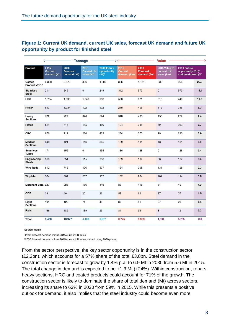## **Figure 1: Current UK demand, current UK sales, forecast UK demand and future UK opportunity by product for finished steel**

|                                     | <b>Tonnage</b><br>$\leftarrow$        |                                        |                                         | $\rightarrow \leftarrow$               |                                       |                                        | <b>Value</b>                              |                                                                   |      |
|-------------------------------------|---------------------------------------|----------------------------------------|-----------------------------------------|----------------------------------------|---------------------------------------|----------------------------------------|-------------------------------------------|-------------------------------------------------------------------|------|
| Product                             | 2015<br><b>Current</b><br>demand (Kt) | 2030<br><b>Forecast</b><br>demand (Kt) | 2015<br><b>Current UK</b><br>sales (Kt) | 2030 Future<br>opportunity<br>$(Kt)^1$ | 2015<br><b>Current</b><br>demand (£m) | 2030<br><b>Forecast</b><br>demand (£m) | 2015 Value of<br>current UK<br>sales (£m) | 2030 Future<br>opportunity (£m) <sup>2</sup><br>and breakdown (%) |      |
| Coated<br>Products/OCS              | 2,328                                 | 2,576                                  | 896                                     | 1,680                                  | 856                                   | 1,471                                  | 332                                       | 958                                                               | 25.3 |
| <b>Stainless</b><br><b>Steel</b>    | 211                                   | 249                                    | $\mathbf{0}$                            | 249                                    | 342                                   | 573                                    | $\circ$                                   | 573                                                               | 15.1 |
| <b>HRC</b>                          | 1,754                                 | 1,993                                  | 1,040                                   | 953                                    | 528                                   | 921                                    | 313                                       | 440                                                               | 11.6 |
| Rebar                               | 843                                   | 1,234                                  | 402                                     | 832                                    | 248                                   | 468                                    | 118                                       | 315                                                               | 8.3  |
| Heavy<br><b>Sections</b>            | 762                                   | 922                                    | 328                                     | 594                                    | 348                                   | 433                                    | 150                                       | 279                                                               | 7.4  |
| <b>Plates</b>                       | 511                                   | 615                                    | 155                                     | 460                                    | 194                                   | 338                                    | 59                                        | 253                                                               | 6.7  |
| CRC                                 | 676                                   | 719                                    | 286                                     | 433                                    | 234                                   | 370                                    | 99                                        | 223                                                               | 5.9  |
| Medium<br><b>Sections</b>           | 348                                   | 421                                    | 116                                     | 305                                    | 129                                   | 181                                    | 43                                        | 131                                                               | 3.5  |
| <b>Seamless</b><br><b>Tubes</b>     | 171                                   | 155                                    | $\mathbf 0$                             | 155                                    | 136                                   | 128                                    | $\mathsf{o}$                              | 128                                                               | 3.4  |
| <b>Engineering</b><br><b>Steels</b> | 318                                   | 351                                    | 115                                     | 236                                    | 139                                   | 189                                    | 50                                        | 127                                                               | 3.4  |
| <b>Wire Rods</b>                    | 612                                   | 743                                    | 436                                     | 307                                    | 184                                   | 305                                    | 131                                       | 126                                                               | 3.3  |
| <b>Tinplate</b>                     | 364                                   | 364                                    | 207                                     | 157                                    | 182                                   | 264                                    | 104                                       | 114                                                               | 3.0  |
| <b>Merchant Bars 227</b>            |                                       | 285                                    | 166                                     | 119                                    | 83                                    | 118                                    | 61                                        | 49                                                                | 1.3  |
| <b>ODF</b>                          | 38                                    | 46                                     | 20                                      | 26                                     | 52                                    | 66                                     | 27                                        | 37                                                                | 1.0  |
| Light<br><b>Sections</b>            | 101                                   | 123                                    | 74                                      | 49                                     | 37                                    | 51                                     | 27                                        | 20                                                                | 0.5  |
| Rails                               | 166                                   | 182                                    | 159                                     | 23                                     | 84                                    | 94                                     | 81                                        | 12                                                                | 0.3  |
| <b>Total</b>                        | 9,430                                 | 10,977                                 | 4,400                                   | 6,577                                  | 3,775                                 | 5,969                                  | 1,594                                     | 3,785                                                             | 100  |

Source: Hatch

12030 forecast demand minus 2015 current UK sales

<sup>2</sup>2030 forecast demand minus 2015 current UK sales, valued using 2030 prices

From the sector perspective, the key sector opportunity is in the construction sector (£2.2bn), which accounts for a 57% share of the total £3.8bn. Steel demand in the construction sector is forecast to grow by 1.4% p.a. to 6.9 Mt in 2030 from 5.6 Mt in 2015. The total change in demand is expected to be +1.3 Mt (+24%). Within construction, rebars, heavy sections, HRC and coated products could account for 71% of the growth. The construction sector is likely to dominate the share of total demand (Mt) across sectors, increasing its share to 63% in 2030 from 59% in 2015. While this presents a positive outlook for demand, it also implies that the steel industry could become even more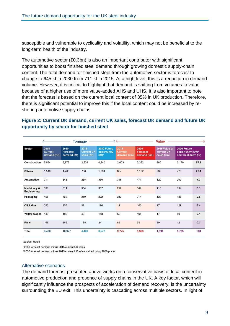susceptible and vulnerable to cyclicality and volatility, which may not be beneficial to the long-term health of the industry.

The automotive sector (£0.3bn) is also an important contributor with significant opportunities to boost finished steel demand through growing domestic supply-chain content. The total demand for finished steel from the automotive sector is forecast to change to 645 kt in 2030 from 711 kt in 2015. At a high level, this is a reduction in demand volume. However, it is critical to highlight that demand is shifting from volumes to value because of a higher use of more value-added AHS and UHS. It is also important to note that the forecast is based on the current local content of 35% in UK production. Therefore, there is significant potential to improve this if the local content could be increased by reshoring automotive supply chains.

## **Figure 2: Current UK demand, current UK sales, forecast UK demand and future UK opportunity by sector for finished steel**

|                                   |                                       |                                        | <b>Tonnage</b>                          |                                        | $\rightarrow \leftarrow$                                        |                                        | <b>Value</b>                              |                                                                   |      |
|-----------------------------------|---------------------------------------|----------------------------------------|-----------------------------------------|----------------------------------------|-----------------------------------------------------------------|----------------------------------------|-------------------------------------------|-------------------------------------------------------------------|------|
| Sector                            | 2015<br><b>Current</b><br>demand (Kt) | 2030<br><b>Forecast</b><br>demand (Kt) | 2015<br><b>Current UK</b><br>sales (Kt) | 2030 Future<br>opportunity<br>$(Kt)^1$ | 2015<br><b>Current</b><br>demand $(\mathbf{\hat{E}}\mathbf{m})$ | 2030<br><b>Forecast</b><br>demand (£m) | 2015 Value of<br>current UK<br>sales (£m) | 2030 Future<br>opportunity (£m) <sup>2</sup><br>and breakdown (%) |      |
| Construction                      | 5,554                                 | 6,879                                  | 2,539                                   | 4,340                                  | 2,003                                                           | 3,352                                  | 880                                       | 2,170                                                             | 57.3 |
| <b>Others</b>                     | 1,510                                 | 1.760                                  | 756                                     | 1.004                                  | 654                                                             | 1,122                                  | 232                                       | 770                                                               | 20.4 |
| <b>Automotive</b>                 | 711                                   | 645                                    | 285                                     | 360                                    | 348                                                             | 471                                    | 120                                       | 293                                                               | 7.7  |
| Machinery &<br><b>Engineering</b> | 538                                   | 611                                    | 304                                     | 307                                    | 226                                                             | 349                                    | 116                                       | 194                                                               | 5.1  |
| Packaging                         | 456                                   | 462                                    | 259                                     | 202                                    | 213                                                             | 314                                    | 122                                       | 136                                                               | 3.6  |
| Oil & Gas                         | 353                                   | 253                                    | 57                                      | 196                                    | 191                                                             | 163                                    | 27                                        | 129                                                               | 3.4  |
| <b>Yellow Goods</b>               | 142                                   | 186                                    | 43                                      | 143                                    | 58                                                              | 104                                    | 17                                        | 80                                                                | 2.1  |
| Rails                             | 166                                   | 182                                    | 158                                     | 24                                     | 84                                                              | 94                                     | 80                                        | 12                                                                | 0.3  |
| Total                             | 9,430                                 | 10,977                                 | 4,400                                   | 6,577                                  | 3,775                                                           | 5,969                                  | 1.594                                     | 3,785                                                             | 100  |

Source: Hatch

12030 forecast demand minus 2015 current UK sales

<sup>2</sup>2030 forecast demand minus 2015 current UK sales, valued using 2030 prices

#### Alternative scenarios

The demand forecast presented above works on a conservative basis of local content in automotive production and presence of supply chains in the UK. A key factor, which will significantly influence the prospects of acceleration of demand recovery, is the uncertainty surrounding the EU exit. This uncertainty is cascading across multiple sectors. In light of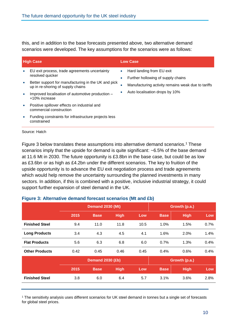this, and in addition to the base forecasts presented above, two alternative demand scenarios were developed. The key assumptions for the scenarios were as follows:

|           | <b>High Case</b>                                                                         | Low Case               |                                                                 |  |  |  |
|-----------|------------------------------------------------------------------------------------------|------------------------|-----------------------------------------------------------------|--|--|--|
| $\bullet$ | EU exit process, trade agreements uncertainty<br>resolved quicker                        | $\bullet$<br>$\bullet$ | Hard landing from EU exit<br>Further hollowing of supply chains |  |  |  |
| $\bullet$ | Better support for manufacturing in the UK and pick<br>up in re-shoring of supply chains | $\bullet$<br>$\bullet$ | Manufacturing activity remains weak due to tariffs              |  |  |  |
| $\bullet$ | Improved localisation of automotive production -<br>+10% increase                        |                        | Auto localisation drops by 10%                                  |  |  |  |
| $\bullet$ | Positive spillover effects on industrial and<br>commercial construction                  |                        |                                                                 |  |  |  |
| ۰         | Funding constraints for infrastructure projects less<br>constrained                      |                        |                                                                 |  |  |  |

Source: Hatch

Figure 3 below translates these assumptions into alternative demand scenarios.<sup>1</sup> These scenarios imply that the upside for demand is quite significant: ~6.5% of the base demand at 11.6 Mt in 2030. The future opportunity is £3.8bn in the base case, but could be as low as £3.6bn or as high as £4.2bn under the different scenarios. The key to fruition of the upside opportunity is to advance the EU exit negotiation process and trade agreements which would help remove the uncertainty surrounding the planned investments in many sectors. In addition, if this is combined with a positive, inclusive industrial strategy, it could support further expansion of steel demand in the UK.

## **Figure 3: Alternative demand forecast scenarios (Mt and £b)**

|                       | <b>Demand 2030 (Mt)</b> |                         |             |      | Growth (p.a.) |             |      |  |
|-----------------------|-------------------------|-------------------------|-------------|------|---------------|-------------|------|--|
|                       | 2015                    | <b>Base</b>             | <b>High</b> | Low  | <b>Base</b>   | <b>High</b> | Low  |  |
| <b>Finished Steel</b> | 9.4                     | 11.0                    | 11.8        | 10.5 | 1.0%          | 1.5%        | 0.7% |  |
| <b>Long Products</b>  | 3.4                     | 4.3                     | 4.5         | 4.1  | 1.6%          | 2.0%        | 1.4% |  |
| <b>Flat Products</b>  | 5.6                     | 6.3                     | 6.8         | 6.0  | 0.7%          | 1.3%        | 0.4% |  |
| <b>Other Products</b> | 0.42                    | 0.45                    | 0.46        | 0.45 | 0.4%          | 0.6%        | 0.4% |  |
|                       |                         | <b>Demand 2030 (£b)</b> |             |      | Growth (p.a.) |             |      |  |
|                       | 2015                    | <b>Base</b>             | <b>High</b> | Low  | <b>Base</b>   | <b>High</b> | Low  |  |
| <b>Finished Steel</b> | 3.8                     | 6.0                     | 6.4         | 5.7  | 3.1%          | 3.6%        | 2.8% |  |
|                       |                         |                         |             |      |               |             |      |  |

<sup>1</sup> The sensitivity analysis uses different scenarios for UK steel demand in tonnes but a single set of forecasts for global steel prices.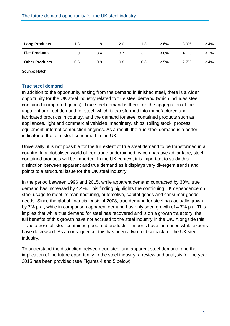| <b>Long Products</b>  | 1.3 | 1.8 | 2.0 | 1.8 | 2.6% | $3.0\%$ | 2.4% |
|-----------------------|-----|-----|-----|-----|------|---------|------|
| <b>Flat Products</b>  | 2.0 | 3.4 | 3.7 | 3.2 | 3.6% | $4.1\%$ | 3.2% |
| <b>Other Products</b> | 0.5 | 0.8 | 0.8 | 0.8 | 2.5% | $2.7\%$ | 2.4% |

Source: Hatch

## **True steel demand**

In addition to the opportunity arising from the demand in finished steel, there is a wider opportunity for the UK steel industry related to true steel demand (which includes steel contained in imported goods). True steel demand is therefore the aggregation of the apparent or direct demand for steel, which is transformed into manufactured and fabricated products in country, and the demand for steel contained products such as appliances, light and commercial vehicles, machinery, ships, rolling stock, process equipment, internal combustion engines. As a result, the true steel demand is a better indicator of the total steel consumed in the UK.

Universally, it is not possible for the full extent of true steel demand to be transformed in a country. In a globalised world of free trade underpinned by comparative advantage, steel contained products will be imported. In the UK context, it is important to study this distinction between apparent and true demand as it displays very divergent trends and points to a structural issue for the UK steel industry.

In the period between 1996 and 2015, while apparent demand contracted by 30%, true demand has increased by 4.4%. This finding highlights the continuing UK dependence on steel usage to meet its manufacturing, automotive, capital goods and consumer goods needs. Since the global financial crisis of 2008, true demand for steel has actually grown by 7% p.a., while in comparison apparent demand has only seen growth of 4.7% p.a. This implies that while true demand for steel has recovered and is on a growth trajectory, the full benefits of this growth have not accrued to the steel industry in the UK. Alongside this – and across all steel contained good and products – imports have increased while exports have decreased. As a consequence, this has been a two-fold setback for the UK steel industry.

To understand the distinction between true steel and apparent steel demand, and the implication of the future opportunity to the steel industry, a review and analysis for the year 2015 has been provided (see Figures 4 and 5 below).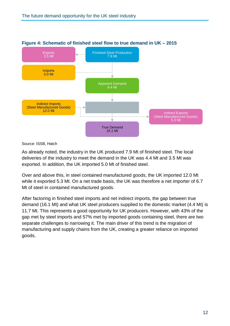

## **Figure 4: Schematic of finished steel flow to true demand in UK – 2015**

Source: ISSB, Hatch

As already noted, the industry in the UK produced 7.9 Mt of finished steel. The local deliveries of the industry to meet the demand in the UK was 4.4 Mt and 3.5 Mt was exported. In addition, the UK imported 5.0 Mt of finished steel.

Over and above this, in steel contained manufactured goods, the UK imported 12.0 Mt while it exported 5.3 Mt. On a net trade basis, the UK was therefore a net importer of 6.7 Mt of steel in contained manufactured goods.

After factoring in finished steel imports and net indirect imports, the gap between true demand (16.1 Mt) and what UK steel producers supplied to the domestic market (4.4 Mt) is 11.7 Mt. This represents a good opportunity for UK producers. However, with 43% of the gap met by steel imports and 57% met by imported goods containing steel, there are two separate challenges to narrowing it. The main driver of this trend is the migration of manufacturing and supply chains from the UK, creating a greater reliance on imported goods.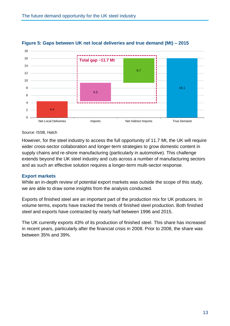

## **Figure 5: Gaps between UK net local deliveries and true demand (Mt) – 2015**

#### Source: ISSB, Hatch

However, for the steel industry to access the full opportunity of 11.7 Mt, the UK will require wider cross-sector collaboration and longer-term strategies to grow domestic content in supply chains and re-shore manufacturing (particularly in automotive). This challenge extends beyond the UK steel industry and cuts across a number of manufacturing sectors and as such an effective solution requires a longer-term multi-sector response.

## **Export markets**

While an in-depth review of potential export markets was outside the scope of this study, we are able to draw some insights from the analysis conducted.

Exports of finished steel are an important part of the production mix for UK producers. In volume terms, exports have tracked the trends of finished steel production. Both finished steel and exports have contracted by nearly half between 1996 and 2015.

The UK currently exports 43% of its production of finished steel. This share has increased in recent years, particularly after the financial crisis in 2008. Prior to 2008, the share was between 35% and 39%.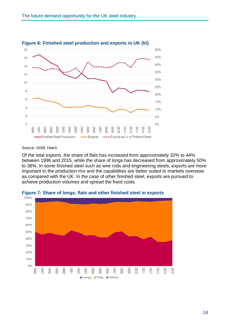

### **Figure 6: Finished steel production and exports in UK (kt)**

#### Source: ISSB, Hatch

Of the total exports, the share of flats has increased from approximately 32% to 44% between 1996 and 2015, while the share of longs has decreased from approximately 50% to 38%. In some finished steel such as wire rods and engineering steels, exports are more important to the production mix and the capabilities are better suited to markets overseas as compared with the UK. In the case of other finished steel, exports are pursued to achieve production volumes and spread the fixed costs.



**Figure 7: Share of longs, flats and other finished steel in exports**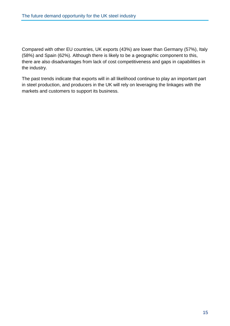Compared with other EU countries, UK exports (43%) are lower than Germany (57%), Italy (58%) and Spain (62%). Although there is likely to be a geographic component to this, there are also disadvantages from lack of cost competitiveness and gaps in capabilities in the industry.

The past trends indicate that exports will in all likelihood continue to play an important part in steel production, and producers in the UK will rely on leveraging the linkages with the markets and customers to support its business.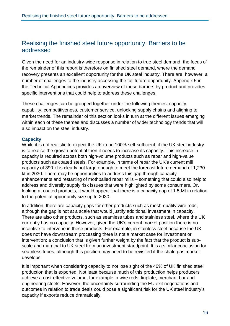## <span id="page-17-0"></span>Realising the finished steel future opportunity: Barriers to be addressed

Given the need for an industry-wide response in relation to true steel demand, the focus of the remainder of this report is therefore on finished steel demand, where the demand recovery presents an excellent opportunity for the UK steel industry. There are, however, a number of challenges to the industry accessing the full future opportunity. Appendix 5 in the Technical Appendices provides an overview of these barriers by product and provides specific interventions that could help to address these challenges.

These challenges can be grouped together under the following themes: capacity, capability, competitiveness, customer service, unlocking supply chains and aligning to market trends. The remainder of this section looks in turn at the different issues emerging within each of these themes and discusses a number of wider technology trends that will also impact on the steel industry.

## **Capacity**

While it is not realistic to expect the UK to be 100% self-sufficient, if the UK steel industry is to realise the growth potential then it needs to increase its capacity. This increase in capacity is required across both high-volume products such as rebar and high-value products such as coated steels. For example, in terms of rebar the UK's current mill capacity of 890 kt is clearly not large enough to meet the forecast future demand of 1,230 kt in 2030. There may be opportunities to address this gap through capacity enhancements and restarting of mothballed rebar mills – something that could also help to address and diversify supply risk issues that were highlighted by some consumers. Or, looking at coated products, it would appear that there is a capacity gap of 1.5 Mt in relation to the potential opportunity size up to 2030.

In addition, there are capacity gaps for other products such as mesh-quality wire rods, although the gap is not at a scale that would justify additional investment in capacity. There are also other products, such as seamless tubes and stainless steel, where the UK currently has no capacity. However, given the UK's current market position there is no incentive to intervene in these products. For example, in stainless steel because the UK does not have downstream processing there is not a market case for investment or intervention; a conclusion that is given further weight by the fact that the product is subscale and marginal to UK steel from an investment standpoint. It is a similar conclusion for seamless tubes, although this position may need to be revisited if the shale gas market develops.

It is important when considering capacity to not lose sight of the 40% of UK finished steel production that is exported. Not least because much of this production helps producers achieve a cost-effective volume, for example in wire rods, tinplate, merchant bar and engineering steels. However, the uncertainty surrounding the EU exit negotiations and outcomes in relation to trade deals could pose a significant risk for the UK steel industry's capacity if exports reduce dramatically.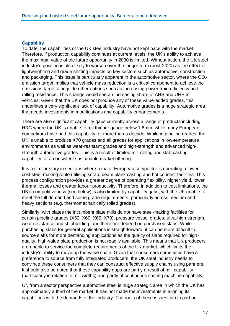## **Capability**

To date, the capabilities of the UK steel industry have not kept pace with the market. Therefore, if production capability continues at current levels, the UK's ability to achieve the maximum value of the future opportunity in 2030 is limited. Without action, the UK steel industry's position is also likely to worsen over the longer term (post-2020) as the effect of lightweighting and grade shifting impacts on key sectors such as automotive, construction and packaging. This issue is particularly apparent in the automotive sector, where the  $CO<sub>2</sub>$ emission target implies that vehicle mass reduction is a critical component to achieve the emissions target alongside other options such as increasing power train efficiency and rolling resistance. This change would see an increasing share of AHS and UHS in vehicles. Given that the UK does not produce any of these value-added grades, this underlines a very significant lack of capability. Automotive grades is a huge strategic area that needs investments in modifications and capability enhancements.

There are also significant capability gaps currently across a range of products including HRC where the UK is unable to roll thinner gauge below 1.8mm, while many European competitors have had this capability for more than a decade. While in pipeline grades, the UK is unable to produce X70 grades and all grades for applications in low-temperature environments as well as wear-resistant grades and high-strength and advanced highstrength automotive grades. This is a result of limited mill-rolling and slab-casting capability for a consistent sustainable market offering.

It is a similar story in sections where a major European competitor is operating a lowercost steel-making route utilising scrap, beam blank casting and hot connect facilities. This process configuration provides a greater degree of operating flexibility, higher yield, lower thermal losses and greater labour productivity. Therefore, in addition to cost limitations, the UK's competitiveness (see below) is also limited by capability gaps, with the UK unable to meet the full demand and some grade requirements, particularly across medium and heavy sections (e.g. thermomechanically rolled grades).

Similarly, with plates the incumbent plate mills do not have steel-making facilities for certain pipeline grades (X52, X60, X65, X70), pressure vessel grades, ultra-high strength, wear resistance and shipbuilding, and therefore depend on purchased slabs. While purchasing slabs for general applications is straightforward, it can be more difficult to source slabs for more demanding applications as the quality of slabs required for highquality, high-value plate production is not readily available. This means that UK producers are unable to service the complete requirements of the UK market, which limits the industry's ability to move up the value chain. Given that consumers sometimes have a preference to source from fully integrated producers, the UK steel industry needs to convince these consumers that they can construct effective supply chains using partners. It should also be noted that these capability gaps are partly a result of mill capability (particularly in relation to mill widths) and partly of continuous casting machine capability.

Or, from a sector perspective automotive steel is huge strategic area in which the UK has approximately a third of the market. It has not made the investments in aligning its capabilities with the demands of the industry. The roots of these issues can in part be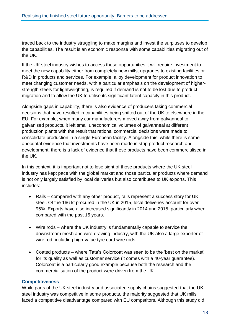traced back to the industry struggling to make margins and invest the surpluses to develop the capabilities. The result is an economic response with some capabilities migrating out of the UK.

If the UK steel industry wishes to access these opportunities it will require investment to meet the new capability either from completely new mills, upgrades to existing facilities or R&D in products and services. For example, alloy development for product innovation to meet changing customer needs, with a particular emphasis on the development of higherstrength steels for lightweighting, is required if demand is not to be lost due to product migration and to allow the UK to utilise its significant latent capacity in this product.

Alongside gaps in capability, there is also evidence of producers taking commercial decisions that have resulted in capabilities being shifted out of the UK to elsewhere in the EU. For example, when many car manufacturers moved away from galvanneal to galvanised products, it left small uneconomical volumes of galvanneal at different production plants with the result that rational commercial decisions were made to consolidate production in a single European facility. Alongside this, while there is some anecdotal evidence that investments have been made in strip product research and development, there is a lack of evidence that these products have been commercialised in the UK.

In this context, it is important not to lose sight of those products where the UK steel industry has kept pace with the global market and those particular products where demand is not only largely satisfied by local deliveries but also contributes to UK exports. This includes:

- Rails compared with any other product, rails represent a success story for UK steel. Of the 166 kt procured in the UK in 2015, local deliveries account for over 95%. Exports have also increased significantly in 2014 and 2015, particularly when compared with the past 15 years.
- Wire rods where the UK industry is fundamentally capable to service the downstream mesh and wire-drawing industry, with the UK also a large exporter of wire rod, including high-value tyre cord wire rods.
- Coated products where Tata's Colorcoat was seen to be the 'best on the market' for its quality as well as customer service (it comes with a 40-year guarantee). Colorcoat is a particularly good example because both the research and the commercialisation of the product were driven from the UK.

## **Competitiveness**

While parts of the UK steel industry and associated supply chains suggested that the UK steel industry was competitive in some products, the majority suggested that UK mills faced a competitive disadvantage compared with EU competitors. Although this study did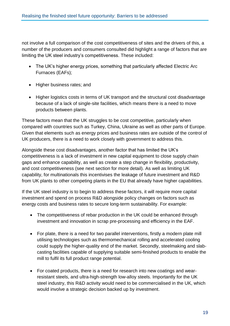not involve a full comparison of the cost competitiveness of sites and the drivers of this, a number of the producers and consumers consulted did highlight a range of factors that are limiting the UK steel industry's competitiveness. These included:

- The UK's higher energy prices, something that particularly affected Electric Arc Furnaces (EAFs);
- Higher business rates; and
- Higher logistics costs in terms of UK transport and the structural cost disadvantage because of a lack of single-site facilities, which means there is a need to move products between plants.

These factors mean that the UK struggles to be cost competitive, particularly when compared with countries such as Turkey, China, Ukraine as well as other parts of Europe. Given that elements such as energy prices and business rates are outside of the control of UK producers, there is a need to work closely with government to address this.

Alongside these cost disadvantages, another factor that has limited the UK's competitiveness is a lack of investment in new capital equipment to close supply chain gaps and enhance capability, as well as create a step change in flexibility, productivity, and cost competitiveness (see next section for more detail). As well as limiting UK capability, for multinationals this incentivises the leakage of future investment and R&D from UK plants to other competing plants in the EU that already have higher capabilities.

If the UK steel industry is to begin to address these factors, it will require more capital investment and spend on process R&D alongside policy changes on factors such as energy costs and business rates to secure long-term sustainability. For example:

- The competitiveness of rebar production in the UK could be enhanced through investment and innovation in scrap pre-processing and efficiency in the EAF.
- For plate, there is a need for two parallel interventions, firstly a modern plate mill utilising technologies such as thermomechanical rolling and accelerated cooling could supply the higher-quality end of the market. Secondly, steelmaking and slabcasting facilities capable of supplying suitable semi-finished products to enable the mill to fulfil its full product range potential.
- For coated products, there is a need for research into new coatings and wearresistant steels, and ultra-high-strength low-alloy steels. Importantly for the UK steel industry, this R&D activity would need to be commercialised in the UK, which would involve a strategic decision backed up by investment.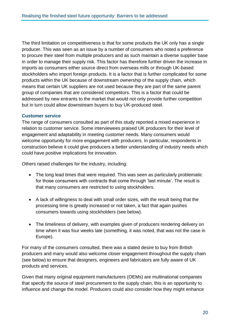The third limitation on competitiveness is that for some products the UK only has a single producer. This was seen as an issue by a number of consumers who noted a preference to procure their steel from multiple producers and as such maintain a diverse supplier base in order to manage their supply risk. This factor has therefore further driven the increase in imports as consumers either source direct from overseas mills or through UK-based stockholders who import foreign products. It is a factor that is further complicated for some products within the UK because of downstream ownership of the supply chain, which means that certain UK suppliers are not used because they are part of the same parent group of companies that are considered competitors. This is a factor that could be addressed by new entrants to the market that would not only provide further competition but in turn could allow downstream buyers to buy UK-produced steel.

## **Customer service**

The range of consumers consulted as part of this study reported a mixed experience in relation to customer service. Some interviewees praised UK producers for their level of engagement and adaptability in meeting customer needs. Many consumers would welcome opportunity for more engagement with producers. In particular, respondents in construction believe it could give producers a better understanding of industry needs which could have positive implications for innovation.

Others raised challenges for the industry, including:

- The long lead times that were required. This was seen as particularly problematic for those consumers with contracts that come through 'last minute'. The result is that many consumers are restricted to using stockholders.
- A lack of willingness to deal with small order sizes, with the result being that the processing time is greatly increased or not taken, a fact that again pushes consumers towards using stockholders (see below).
- The timeliness of delivery, with examples given of producers rendering delivery on time when it was four weeks late (something, it was noted, that was not the case in Europe).

For many of the consumers consulted, there was a stated desire to buy from British producers and many would also welcome closer engagement throughout the supply chain (see below) to ensure that designers, engineers and fabricators are fully aware of UK products and services.

Given that many original equipment manufacturers (OEMs) are multinational companies that specify the source of steel procurement to the supply chain, this is an opportunity to influence and change the model. Producers could also consider how they might enhance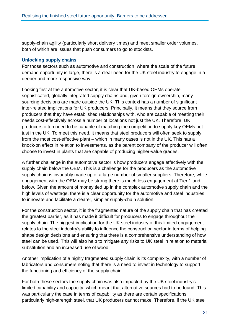supply-chain agility (particularly short delivery times) and meet smaller order volumes, both of which are issues that push consumers to go to stockists.

## **Unlocking supply chains**

For those sectors such as automotive and construction, where the scale of the future demand opportunity is large, there is a clear need for the UK steel industry to engage in a deeper and more responsive way.

Looking first at the automotive sector, it is clear that UK-based OEMs operate sophisticated, globally integrated supply chains and, given foreign ownership, many sourcing decisions are made outside the UK. This context has a number of significant inter-related implications for UK producers. Principally, it means that they source from producers that they have established relationships with, who are capable of meeting their needs cost-effectively across a number of locations not just the UK. Therefore, UK producers often need to be capable of matching the competition to supply key OEMs not just in the UK. To meet this need, it means that steel producers will often seek to supply from the most cost-effective plant – which in many cases is not in the UK. This has a knock-on effect in relation to investments, as the parent company of the producer will often choose to invest in plants that are capable of producing higher-value grades.

A further challenge in the automotive sector is how producers engage effectively with the supply chain below the OEM. This is a challenge for the producers as the automotive supply chain is invariably made up of a large number of smaller suppliers. Therefore, while engagement with the OEM may be strong there is much less engagement at Tier 1 and below. Given the amount of money tied up in the complex automotive supply chain and the high levels of wastage, there is a clear opportunity for the automotive and steel industries to innovate and facilitate a clearer, simpler supply-chain solution.

For the construction sector, it is the fragmented nature of the supply chain that has created the greatest barrier, as it has made it difficult for producers to engage throughout the supply chain. The biggest implication for the UK steel industry of this limited engagement relates to the steel industry's ability to influence the construction sector in terms of helping shape design decisions and ensuring that there is a comprehensive understanding of how steel can be used. This will also help to mitigate any risks to UK steel in relation to material substitution and an increased use of wood.

Another implication of a highly fragmented supply chain is its complexity, with a number of fabricators and consumers noting that there is a need to invest in technology to support the functioning and efficiency of the supply chain.

For both these sectors the supply chain was also impacted by the UK steel industry's limited capability and capacity, which meant that alternative sources had to be found. This was particularly the case in terms of capability as there are certain specifications, particularly high-strength steel, that UK producers cannot make. Therefore, if the UK steel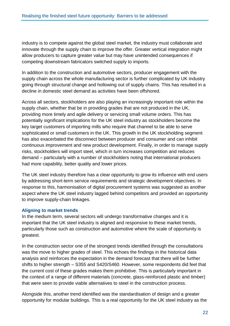industry is to compete against the global steel market, the industry must collaborate and innovate through the supply chain to improve the offer. Greater vertical integration might allow producers to capture greater value but may have unintended consequences if competing downstream fabricators switched supply to imports.

In addition to the construction and automotive sectors, producer engagement with the supply chain across the whole manufacturing sector is further complicated by UK industry going through structural change and hollowing out of supply chains. This has resulted in a decline in domestic steel demand as activities have been offshored.

Across all sectors, stockholders are also playing an increasingly important role within the supply chain, whether that be in providing grades that are not produced in the UK, providing more timely and agile delivery or servicing small volume orders. This has potentially significant implications for the UK steel industry as stockholders become the key target customers of importing mills who require that channel to be able to serve sophisticated or small customers in the UK. This growth in the UK stockholding segment has also exacerbated the disconnect between producer and consumer and can inhibit continuous improvement and new product development. Finally, in order to manage supply risks, stockholders will import steel, which in turn increases competition and reduces demand – particularly with a number of stockholders noting that international producers had more capability, better quality and lower prices.

The UK steel industry therefore has a clear opportunity to grow its influence with end users by addressing short-term service requirements and strategic development objectives. In response to this, harmonisation of digital procurement systems was suggested as another aspect where the UK steel industry lagged behind competitors and provided an opportunity to improve supply-chain linkages.

## **Aligning to market trends**

In the medium term, several sectors will undergo transformative changes and it is important that the UK steel industry is aligned and responsive to these market trends, particularly those such as construction and automotive where the scale of opportunity is greatest.

In the construction sector one of the strongest trends identified through the consultations was the move to higher grades of steel. This echoes the findings in the historical data analysis and reinforces the expectation in the demand forecast that there will be further shifts to higher strength – S355 and S420/S460. However, some respondents did feel that the current cost of these grades makes them prohibitive. This is particularly important in the context of a range of different materials (concrete, glass-reinforced plastic and timber) that were seen to provide viable alternatives to steel in the construction process.

Alongside this, another trend identified was the standardisation of design and a greater opportunity for modular buildings. This is a real opportunity for the UK steel industry as the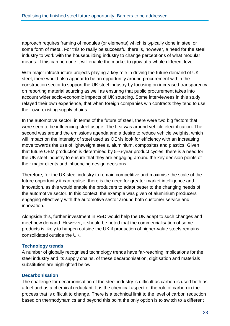approach requires framing of modules (or elements) which is typically done in steel or some form of metal. For this to really be successful there is, however, a need for the steel industry to work with the housebuilding industry to change perceptions of what modular means. If this can be done it will enable the market to grow at a whole different level.

With major infrastructure projects playing a key role in driving the future demand of UK steel, there would also appear to be an opportunity around procurement within the construction sector to support the UK steel industry by focusing on increased transparency on reporting material sourcing as well as ensuring that public procurement takes into account wider socio-economic impacts of UK sourcing. Some interviewees in this study relayed their own experience, that when foreign companies win contracts they tend to use their own existing supply chains.

In the automotive sector, in terms of the future of steel, there were two big factors that were seen to be influencing steel usage. The first was around vehicle electrification. The second was around the emissions agenda and a desire to reduce vehicle weights, which will impact on the intensity of steel used as OEMs look for efficiency with an increasing move towards the use of lightweight steels, aluminium, composites and plastics. Given that future OEM production is determined by 5–6-year product cycles, there is a need for the UK steel industry to ensure that they are engaging around the key decision points of their major clients and influencing design decisions.

Therefore, for the UK steel industry to remain competitive and maximise the scale of the future opportunity it can realise, there is the need for greater market intelligence and innovation, as this would enable the producers to adapt better to the changing needs of the automotive sector. In this context, the example was given of aluminium producers engaging effectively with the automotive sector around both customer service and innovation.

Alongside this, further investment in R&D would help the UK adapt to such changes and meet new demand. However, it should be noted that the commercialisation of some products is likely to happen outside the UK if production of higher-value steels remains consolidated outside the UK.

## **Technology trends**

A number of globally recognised technology trends have far-reaching implications for the steel industry and its supply chains, of these decarbonisation, digitisation and materials substitution are highlighted below.

## **Decarbonisation**

The challenge for decarbonisation of the steel industry is difficult as carbon is used both as a fuel and as a chemical reductant. It is the chemical aspect of the role of carbon in the process that is difficult to change. There is a technical limit to the level of carbon reduction based on thermodynamics and beyond this point the only option is to switch to a different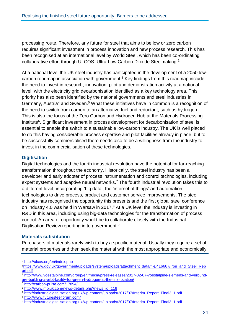processing route. Therefore, any future for steel that aims to be low or zero carbon requires significant investment in process innovation and new process research. This has been recognised at an international level by World Steel, which has been co-ordinating collaborative effort through ULCOS: Ultra-Low Carbon Dioxide Steelmaking.<sup>2</sup>

At a national level the UK steel industry has participated in the development of a 2050 lowcarbon roadmap in association with government. <sup>3</sup> Key findings from this roadmap include the need to invest in research, innovation, pilot and demonstration activity at a national level, with the electricity grid decarbonisation identified as a key technology area. This priority has also been identified by the national governments and steel industries in Germany, Austria<sup>4</sup> and Sweden.<sup>5</sup> What these initiatives have in common is a recognition of the need to switch from carbon to an alternative fuel and reductant, such as hydrogen. This is also the focus of the Zero Carbon and Hydrogen Hub at the Materials Processing Institute<sup>6</sup>. Significant investment in process development for decarbonisation of steel is essential to enable the switch to a sustainable low-carbon industry. The UK is well placed to do this having considerable process expertise and pilot facilities already in place, but to be successfully commercialised there needs also to be a willingness from the industry to invest in the commercialisation of these technologies.

## **Digitisation**

Digital technologies and the fourth industrial revolution have the potential for far-reaching transformation throughout the economy. Historically, the steel industry has been a developer and early adopter of process instrumentation and control technologies, including expert systems and adaptive neural networks.<sup>7</sup> The fourth industrial revolution takes this to a different level, incorporating 'big data', the 'internet of things' and automation technologies to drive process, product and customer service improvements. The steel industry has recognised the opportunity this presents and the first global steel conference on Industry 4.0 was held in Warsaw in 2017.<sup>8</sup> At a UK level the industry is investing in R&D in this area, including using big-data technologies for the transformation of process control. An area of opportunity would be to collaborate closely with the Industrial Digitisation Review reporting in to government.<sup>9</sup>

## **Materials substitution**

Purchasers of materials rarely wish to buy a specific material. Usually they require a set of material properties and then seek the material with the most appropriate and economically

<sup>5</sup> [http://carbon-pulse.com/17894/](https://protect-eu.mimecast.com/s/5JvqBInr1dLFX?domain=carbon-pulse.com)

<sup>2</sup> [http://ulcos.org/en/index.php](https://protect-eu.mimecast.com/s/nKbQBI8gq3DsM?domain=ulcos.org)

<sup>3</sup>[https://www.gov.uk/government/uploads/system/uploads/attachment\\_data/file/416667/Iron\\_and\\_Steel\\_Rep](https://www.gov.uk/government/uploads/system/uploads/attachment_data/file/416667/Iron_and_Steel_Report.pdf) [ort.pdf](https://www.gov.uk/government/uploads/system/uploads/attachment_data/file/416667/Iron_and_Steel_Report.pdf)

<sup>4</sup> [http://www.voestalpine.com/group/en/media/press-releases/2017-02-07-voestalpine-siemens-and-verbund](https://protect-eu.mimecast.com/s/VA8XBfwpNRnso?domain=voestalpine.com)[are-building-a-pilot-facility-for-green-hydrogen-at-the-linz-location/](https://protect-eu.mimecast.com/s/VA8XBfwpNRnso?domain=voestalpine.com)

<sup>6</sup> [http://www.mpiuk.com/news-details.php?news\\_id=116](https://protect-eu.mimecast.com/s/g5nABUK1ROXu8?domain=mpiuk.com)

<sup>7</sup> [http://industrialdigitalisation.org.uk/wp-content/uploads/2017/07/Interim\\_Report\\_Final3\\_1.pdf](https://protect-eu.mimecast.com/s/oXDxBsvxz4guM?domain=industrialdigitalisation.org.uk)

<sup>8</sup> [http://www.futuresteelforum.com/](https://protect-eu.mimecast.com/s/ANGnBUZJ1O5tp?domain=futuresteelforum.com)

<sup>9</sup> [http://industrialdigitalisation.org.uk/wp-content/uploads/2017/07/Interim\\_Report\\_Final3\\_1.pdf](http://industrialdigitalisation.org.uk/wp-content/uploads/2017/07/Interim_Report_Final3_1.pdf)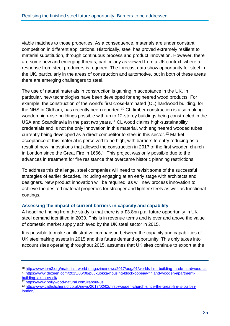viable matches to those properties. As a consequence, materials are under constant competition in different applications. Historically, steel has proved extremely resilient to material substitution, through continuous process and product innovation. However, there are some new and emerging threats, particularly as viewed from a UK context, where a response from steel producers is required. The forecast data show opportunity for steel in the UK, particularly in the areas of construction and automotive, but in both of these areas there are emerging challengers to steel.

The use of natural materials in construction is gaining in acceptance in the UK. In particular, new technologies have been developed for engineered wood products. For example, the construction of the world's first cross-laminated (CL) hardwood building, for the NHS in Oldham, has recently been reported.<sup>10</sup> CL timber construction is also making wooden high-rise buildings possible with up to 12-storey buildings being constructed in the USA and Scandinavia in the past two years. <sup>11</sup> CL wood claims high-sustainability credentials and is not the only innovation in this material, with engineered wooded tubes currently being developed as a direct competitor to steel in this sector. <sup>12</sup> Market acceptance of this material is perceived to be high, with barriers to entry reducing as a result of new innovations that allowed the construction in 2017 of the first wooden church in London since the Great Fire in 1666. <sup>13</sup> This project was only possible due to the advances in treatment for fire resistance that overcame historic planning restrictions.

To address this challenge, steel companies will need to revisit some of the successful strategies of earlier decades, including engaging at an early stage with architects and designers. New product innovation will be required, as will new process innovation to achieve the desired material properties for stronger and lighter steels as well as functional coatings.

## **Assessing the impact of current barriers in capacity and capability**

A headline finding from the study is that there is a £3.8bn p.a. future opportunity in UK steel demand identified in 2030. This is in revenue terms and is over and above the value of domestic market supply achieved by the UK steel sector in 2015.

It is possible to make an illustrative comparison between the capacity and capabilities of UK steelmaking assets in 2015 and this future demand opportunity. This only takes into account sites operating throughout 2015, assumes that UK sites continue to export at the

<sup>10</sup> [http://www.iom3.org/materials-world-magazine/news/2017/aug/01/worlds-first-building-made-hardwood-clt](https://protect-eu.mimecast.com/s/3R8ABUpZ2oVIz?domain=iom3.org) <sup>11</sup> [https://www.dezeen.com/2015/06/08/puukuokka-housing-block-oopeaa-finland-wooden-apartment-](https://protect-eu.mimecast.com/s/qO0pBh8GXoNsV?domain=dezeen.com)

[building-lakea-oy-clt/](https://protect-eu.mimecast.com/s/qO0pBh8GXoNsV?domain=dezeen.com)

<sup>12</sup> [https://www.pollywood-natural.com/#about-us](https://protect-eu.mimecast.com/s/4Q43BUlG2o3fX?domain=pollywood-natural.com)

<sup>13</sup> [http://www.catholicherald.co.uk/news/2017/02/02/first-wooden-church-since-the-great-fire-is-built-in](https://protect-eu.mimecast.com/s/dqr5BT2OR1kI9?domain=catholicherald.co.uk)[london/](https://protect-eu.mimecast.com/s/dqr5BT2OR1kI9?domain=catholicherald.co.uk)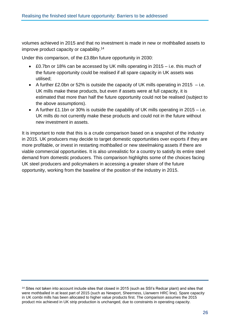volumes achieved in 2015 and that no investment is made in new or mothballed assets to improve product capacity or capability.<sup>14</sup>

Under this comparison, of the £3.8bn future opportunity in 2030:

- £0.7bn or 18% can be accessed by UK mills operating in 2015 i.e. this much of the future opportunity could be realised if all spare capacity in UK assets was utilised;
- $\bullet$  A further £2.0bn or 52% is outside the capacity of UK mills operating in 2015 i.e. UK mills make these products, but even if assets were at full capacity, it is estimated that more than half the future opportunity could not be realised (subject to the above assumptions).
- A further £1.1bn or 30% is outside the capability of UK mills operating in 2015 i.e. UK mills do not currently make these products and could not in the future without new investment in assets.

It is important to note that this is a crude comparison based on a snapshot of the industry in 2015. UK producers may decide to target domestic opportunities over exports if they are more profitable, or invest in restarting mothballed or new steelmaking assets if there are viable commercial opportunities. It is also unrealistic for a country to satisfy its entire steel demand from domestic producers. This comparison highlights some of the choices facing UK steel producers and policymakers in accessing a greater share of the future opportunity, working from the baseline of the position of the industry in 2015.

<sup>14</sup> Sites not taken into account include sites that closed in 2015 (such as SSI's Redcar plant) and sites that were mothballed in at least part of 2015 (such as Newport, Sheerness, Llanwern HRC line). Spare capacity in UK combi mills has been allocated to higher value products first. The comparison assumes the 2015 product mix achieved in UK strip production is unchanged, due to constraints in operating capacity.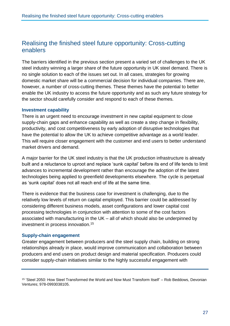## <span id="page-28-0"></span>Realising the finished steel future opportunity: Cross-cutting enablers

The barriers identified in the previous section present a varied set of challenges to the UK steel industry winning a larger share of the future opportunity in UK steel demand. There is no single solution to each of the issues set out. In all cases, strategies for growing domestic market share will be a commercial decision for individual companies. There are, however, a number of cross-cutting themes. These themes have the potential to better enable the UK industry to access the future opportunity and as such any future strategy for the sector should carefully consider and respond to each of these themes.

## **Investment capability**

There is an urgent need to encourage investment in new capital equipment to close supply-chain gaps and enhance capability as well as create a step change in flexibility, productivity, and cost competitiveness by early adoption of disruptive technologies that have the potential to allow the UK to achieve competitive advantage as a world leader. This will require closer engagement with the customer and end users to better understand market drivers and demand.

A major barrier for the UK steel industry is that the UK production infrastructure is already built and a reluctance to uproot and replace 'sunk capital' before its end of life tends to limit advances to incremental development rather than encourage the adoption of the latest technologies being applied to greenfield developments elsewhere. The cycle is perpetual as 'sunk capital' does not all reach end of life at the same time.

There is evidence that the business case for investment is challenging, due to the relatively low levels of return on capital employed. This barrier could be addressed by considering different business models, asset configurations and lower capital cost processing technologies in conjunction with attention to some of the cost factors associated with manufacturing in the UK – all of which should also be underpinned by investment in process innovation.<sup>15</sup>

## **Supply-chain engagement**

Greater engagement between producers and the steel supply chain, building on strong relationships already in place, would improve communication and collaboration between producers and end users on product design and material specification. Producers could consider supply-chain initiatives similar to the highly successful engagement with

<sup>15</sup> 'Steel 2050: How Steel Transformed the World and Now Must Transform Itself' – Rob Beddows, Devonian Ventures; 978-0993038105.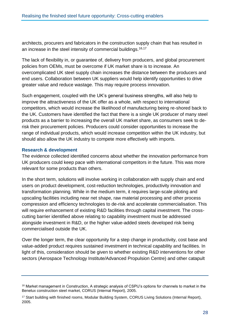architects, procurers and fabricators in the construction supply chain that has resulted in an increase in the steel intensity of commercial buildings.<sup>16,17</sup>

The lack of flexibility in, or guarantee of, delivery from producers, and global procurement policies from OEMs, must be overcome if UK market share is to increase. An overcomplicated UK steel supply chain increases the distance between the producers and end users. Collaboration between UK suppliers would help identify opportunities to drive greater value and reduce wastage. This may require process innovation.

Such engagement, coupled with the UK's general business strengths, will also help to improve the attractiveness of the UK offer as a whole, with respect to international competitors, which would increase the likelihood of manufacturing being re-shored back to the UK. Customers have identified the fact that there is a single UK producer of many steel products as a barrier to increasing the overall UK market share, as consumers seek to derisk their procurement policies. Producers could consider opportunities to increase the range of individual products, which would increase competition within the UK industry, but should also allow the UK industry to compete more effectively with imports.

## **Research & development**

The evidence collected identified concerns about whether the innovation performance from UK producers could keep pace with international competitors in the future. This was more relevant for some products than others.

In the short term, solutions will involve working in collaboration with supply chain and end users on product development, cost-reduction technologies, productivity innovation and transformation planning. While in the medium term, it requires large-scale piloting and upscaling facilities including near net shape, raw material processing and other process compression and efficiency technologies to de-risk and accelerate commercialisation. This will require enhancement of existing R&D facilities through capital investment. The crosscutting barrier identified above relating to capability investment must be addressed alongside investment in R&D, or the higher value-added steels developed risk being commercialised outside the UK.

Over the longer term, the clear opportunity for a step change in productivity, cost base and value-added product requires sustained investment in technical capability and facilities. In light of this, consideration should be given to whether existing R&D interventions for other sectors (Aerospace Technology Institute/Advanced Propulsion Centre) and other catapult

<sup>16</sup> Market management in Construction, A strategic analysis of CSPIJ's options for channels to market in the Benelux construction steel market, CORUS (Internal Report), 2005.

<sup>&</sup>lt;sup>17</sup> Start building with finished rooms, Modular Building System, CORUS Living Solutions (Internal Report), 2005.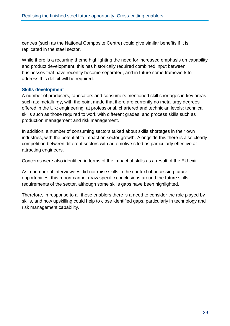centres (such as the National Composite Centre) could give similar benefits if it is replicated in the steel sector.

While there is a recurring theme highlighting the need for increased emphasis on capability and product development, this has historically required combined input between businesses that have recently become separated, and in future some framework to address this deficit will be required.

## **Skills development**

A number of producers, fabricators and consumers mentioned skill shortages in key areas such as: metallurgy, with the point made that there are currently no metallurgy degrees offered in the UK; engineering, at professional, chartered and technician levels; technical skills such as those required to work with different grades; and process skills such as production management and risk management.

In addition, a number of consuming sectors talked about skills shortages in their own industries, with the potential to impact on sector growth. Alongside this there is also clearly competition between different sectors with automotive cited as particularly effective at attracting engineers.

Concerns were also identified in terms of the impact of skills as a result of the EU exit.

As a number of interviewees did not raise skills in the context of accessing future opportunities, this report cannot draw specific conclusions around the future skills requirements of the sector, although some skills gaps have been highlighted.

Therefore, in response to all these enablers there is a need to consider the role played by skills, and how upskilling could help to close identified gaps, particularly in technology and risk management capability.